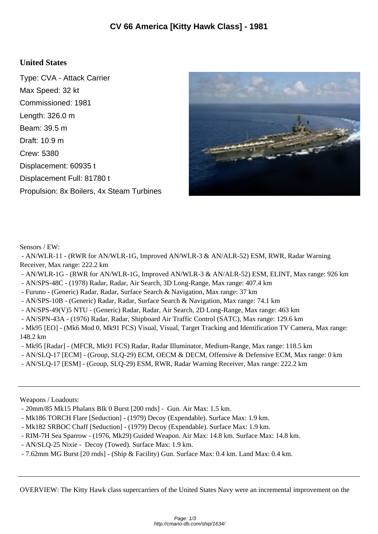## **United States**

Type: CVA - Attack Carrier Max Speed: 32 kt Commissioned: 1981 Length: 326.0 m Beam: 39.5 m Draft: 10.9 m Crew: 5380 Displacement: 60935 t Displacement Full: 81780 t Propulsion: 8x Boilers, 4x Steam Turbines



Sensors / EW:

 - AN/WLR-11 - (RWR for AN/WLR-1G, Improved AN/WLR-3 & AN/ALR-52) ESM, RWR, Radar Warning Receiver, Max range: 222.2 km

- AN/WLR-1G (RWR for AN/WLR-1G, Improved AN/WLR-3 & AN/ALR-52) ESM, ELINT, Max range: 926 km
- AN/SPS-48C (1978) Radar, Radar, Air Search, 3D Long-Range, Max range: 407.4 km
- Furuno (Generic) Radar, Radar, Surface Search & Navigation, Max range: 37 km
- AN/SPS-10B (Generic) Radar, Radar, Surface Search & Navigation, Max range: 74.1 km

- AN/SPS-49(V)5 NTU - (Generic) Radar, Radar, Air Search, 2D Long-Range, Max range: 463 km

- AN/SPN-43A - (1976) Radar, Radar, Shipboard Air Traffic Control (SATC), Max range: 129.6 km

 - Mk95 [EO] - (Mk6 Mod 0, Mk91 FCS) Visual, Visual, Target Tracking and Identification TV Camera, Max range: 148.2 km

- Mk95 [Radar] - (MFCR, Mk91 FCS) Radar, Radar Illuminator, Medium-Range, Max range: 118.5 km

- AN/SLQ-17 [ECM] (Group, SLQ-29) ECM, OECM & DECM, Offensive & Defensive ECM, Max range: 0 km
- AN/SLQ-17 [ESM] (Group, SLQ-29) ESM, RWR, Radar Warning Receiver, Max range: 222.2 km

Weapons / Loadouts:

- 20mm/85 Mk15 Phalanx Blk 0 Burst [200 rnds] Gun. Air Max: 1.5 km.
- Mk186 TORCH Flare [Seduction] (1979) Decoy (Expendable). Surface Max: 1.9 km.
- Mk182 SRBOC Chaff [Seduction] (1979) Decoy (Expendable). Surface Max: 1.9 km.
- RIM-7H Sea Sparrow (1976, Mk29) Guided Weapon. Air Max: 14.8 km. Surface Max: 14.8 km.
- AN/SLQ-25 Nixie Decoy (Towed). Surface Max: 1.9 km.
- 7.62mm MG Burst [20 rnds] (Ship & Facility) Gun. Surface Max: 0.4 km. Land Max: 0.4 km.

OVERVIEW: The Kitty Hawk class supercarriers of the United States Navy were an incremental improvement on the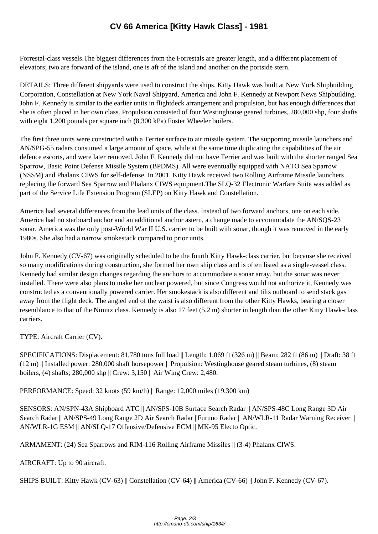Forrestal-class vessels.The bigg[est differences from the Forrestals are greater length, and](http://cmano-db.com/ship/1634/) a different placement of elevators; two are forward of the island, one is aft of the island and another on the portside stern.

DETAILS: Three different shipyards were used to construct the ships. Kitty Hawk was built at New York Shipbuilding Corporation, Constellation at New York Naval Shipyard, America and John F. Kennedy at Newport News Shipbuilding. John F. Kennedy is similar to the earlier units in flightdeck arrangement and propulsion, but has enough differences that she is often placed in her own class. Propulsion consisted of four Westinghouse geared turbines, 280,000 shp, four shafts with eight 1,200 pounds per square inch  $(8,300 \text{ kPa})$  Foster Wheeler boilers.

The first three units were constructed with a Terrier surface to air missile system. The supporting missile launchers and AN/SPG-55 radars consumed a large amount of space, while at the same time duplicating the capabilities of the air defence escorts, and were later removed. John F. Kennedy did not have Terrier and was built with the shorter ranged Sea Sparrow, Basic Point Defense Missile System (BPDMS). All were eventually equipped with NATO Sea Sparrow (NSSM) and Phalanx CIWS for self-defense. In 2001, Kitty Hawk received two Rolling Airframe Missile launchers replacing the forward Sea Sparrow and Phalanx CIWS equipment.The SLQ-32 Electronic Warfare Suite was added as part of the Service Life Extension Program (SLEP) on Kitty Hawk and Constellation.

America had several differences from the lead units of the class. Instead of two forward anchors, one on each side, America had no starboard anchor and an additional anchor astern, a change made to accommodate the AN/SQS-23 sonar. America was the only post-World War II U.S. carrier to be built with sonar, though it was removed in the early 1980s. She also had a narrow smokestack compared to prior units.

John F. Kennedy (CV-67) was originally scheduled to be the fourth Kitty Hawk-class carrier, but because she received so many modifications during construction, she formed her own ship class and is often listed as a single-vessel class. Kennedy had similar design changes regarding the anchors to accommodate a sonar array, but the sonar was never installed. There were also plans to make her nuclear powered, but since Congress would not authorize it, Kennedy was constructed as a conventionally powered carrier. Her smokestack is also different and tilts outboard to send stack gas away from the flight deck. The angled end of the waist is also different from the other Kitty Hawks, bearing a closer resemblance to that of the Nimitz class. Kennedy is also 17 feet (5.2 m) shorter in length than the other Kitty Hawk-class carriers.

TYPE: Aircraft Carrier (CV).

SPECIFICATIONS: Displacement: 81,780 tons full load || Length: 1,069 ft (326 m) || Beam: 282 ft (86 m) || Draft: 38 ft (12 m) || Installed power: 280,000 shaft horsepower || Propulsion: Westinghouse geared steam turbines, (8) steam boilers, (4) shafts; 280,000 shp || Crew: 3,150 || Air Wing Crew: 2,480.

PERFORMANCE: Speed: 32 knots (59 km/h) || Range: 12,000 miles (19,300 km)

SENSORS: AN/SPN-43A Shipboard ATC || AN/SPS-10B Surface Search Radar || AN/SPS-48C Long Range 3D Air Search Radar || AN/SPS-49 Long Range 2D Air Search Radar ||Furuno Radar || AN/WLR-11 Radar Warning Receiver || AN/WLR-1G ESM || AN/SLQ-17 Offensive/Defensive ECM || MK-95 Electo Optic.

ARMAMENT: (24) Sea Sparrows and RIM-116 Rolling Airframe Missiles || (3-4) Phalanx CIWS.

AIRCRAFT: Up to 90 aircraft.

SHIPS BUILT: Kitty Hawk (CV-63) || Constellation (CV-64) || America (CV-66) || John F. Kennedy (CV-67).